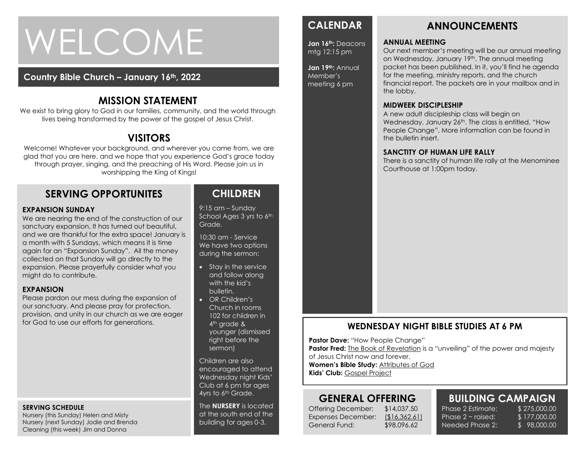# WELCOME

## **Country Bible Church – January 16th, 2022**

## **MISSION STATEMENT**

We exist to bring glory to God in our families, community, and the world through lives being transformed by the power of the gospel of Jesus Christ.

# **VISITORS**

Welcome! Whatever your background, and wherever you came from, we are glad that you are here, and we hope that you experience God's grace today through prayer, singing, and the preaching of His Word. Please join us in worshipping the King of Kings!

## **SERVING OPPORTUNITES**

#### **EXPANSION SUNDAY**

collected on that Sunday will go directly to the<br>expansion. Please prayerfully consider what you We are nearing the end of the construction of our sanctuary expansion. It has turned out beautiful, and we are thankful for the extra space! January is a month with 5 Sundays, which means it is time again for an "Expansion Sunday". All the money collected on that Sunday will go directly to the might do to contribute.

### **EXPANSION**

Please pardon our mess during the expansion of our sanctuary. And please pray for protection, provision, and unity in our church as we are eager for God to use our efforts for generations.

#### **SERVING SCHEDULE**

Nursery (this Sunday) Helen and Misty Nursery (next Sunday) Jodie and Brenda Cleaning (this week) Jim and Donna

## **CHILDREN**

9:15 am – Sunday School Ages 3 yrs to 6th Grade.

10:30 am - Service We have two options during the sermon:

- Stay in the service and follow along with the kid's bulletin.
- OR Children's Church in rooms 102 for children in 4<sup>th</sup> grade & younger (dismissed right before the sermon)

Children are also encouraged to attend Wednesday night Kids' Club at 6 pm for ages 4yrs to 6<sup>th</sup> Grade.

The **NURSERY** is located at the south end of the building for ages 0-3.

## **CALENDAR**

**Jan 16th:** Deacons mtg 12:15 pm

**Jan 19th:** Annual Member's meeting 6 pm

# **ANNOUNCEMENTS**

## **ANNUAL MEETING**

Our next member's meeting will be our annual meeting on Wednesday, January 19th. The annual meeting packet has been published. In it, you'll find he agenda for the meeting, ministry reports, and the church financial report. The packets are in your mailbox and in the lobby.

### **MIDWEEK DISCIPLESHIP**

A new adult discipleship class will begin on Wednesday, January 26<sup>th</sup>. The class is entitled, "How People Change". More information can be found in the bulletin insert.

#### **SANCTITY OF HUMAN LIFE RALLY**

There is a sanctity of human life rally at the Menominee Courthouse at 1:00pm today.

## **WEDNESDAY NIGHT BIBLE STUDIES AT 6 PM**

**Pastor Dave: "How People Change"** 

**Pastor Fred:** The Book of Revelation is a "unveiling" of the power and majesty

of Jesus Christ now and forever.

**Women's Bible Study:** Attributes of God **Kids' Club:** Gospel Project

## **GENERAL OFFERING**

Offering December: \$14,037.50 Expenses December: (\$16,362.61) General Fund: \$98,096.62

**BUILDING CAMPAIGN** Phase 2 Estimate: \$ 275,000.00 Phase  $2 \sim$  raised:

Needed Phase 2:

\$ 177,000.00 \$ 98,000.00